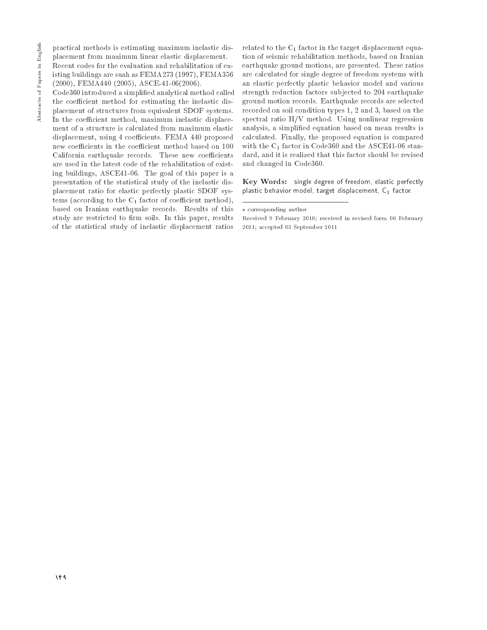practical methods is estimating maximum inelastic displacement from maximum linear elastic displacement.

Recent codes for the evaluation and rehabilitation of existing buildings are suah as FEMA273 (1997), FEMA356  $(2000)$ , FEMA440  $(2005)$ , ASCE-41-06 $(2006)$ .

Code360 introduced a simplified analytical method called the coefficient method for estimating the inelastic dis-

placement of structures from equivalent SDOF systems. In the coefficient method, maximum inelastic displacement of a structure is calculated from maximum elastic displacement, using 4 coefficients. FEMA 440 proposed new coefficients in the coefficient method based on 100 California earthquake records. These new coefficients are used in the latest code of the rehabilitation of existing buildings, ASCE41-06. The goal of this paper is a presentation of the statistical study of the inelastic displacement ratio for elastic perfectly plastic SDOF systems (according to the  $C_1$  factor of coefficient method), based on Iranian earthquake records. Results of this study are restricted to firm soils. In this paper, results of the statistical study of inelastic displacement ratios

related to the  $C_1$  factor in the target displacement equation of seismic rehabilitation methods, based on Iranian earthquake ground motions, are presented. These ratios are calculated for single degree of freedom systems with an elastic perfectly plastic behavior model and various strength reduction factors subjected to 204 earthquake ground motion records. Earthquake records are selected recorded on soil condition types 1, 2 and 3, based on the spectral ratio  $H/V$  method. Using nonlinear regression analysis, a simplified equation based on mean results is calculated. Finally, the proposed equation is compared with the  $C_1$  factor in Code360 and the ASCE41-06 standard, and it is realized that this factor should be revised and changed in Code360.

Key Words: single degree of freedom, elastic perfectly plastic behavior model, target displacement, C1 factor.

 $\star$  corresponding author

Received 9 February 2010; received in revised form 06 February  $2011$ ; accepted 03 September 2011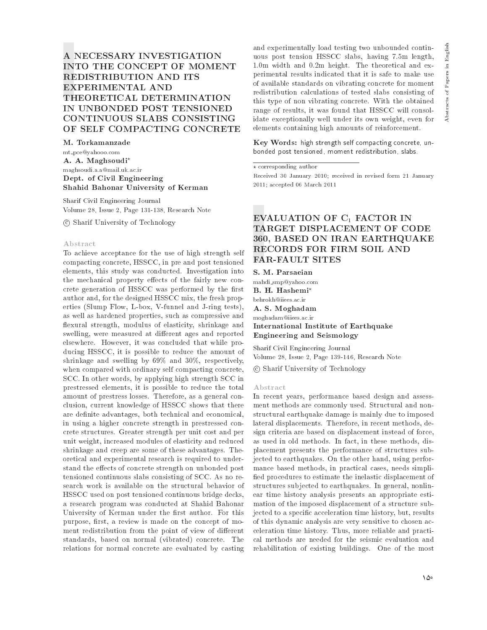English

 $\Xi$ 

Abstracts of Papers

# A NECESSARY INVESTIGATION **INTO THE CONCEPT OF MOMENT REDISTRIBUTION AND ITS EXPERIMENTAL AND** THEORETICAL DETERMINATION IN UNBONDED POST TENSIONED CONTINUOUS SLABS CONSISTING OF SELF COMPACTING CONCRETE

M. Torkamanzade mt\_pce@yahooo.com A. A. Maghsoudi\* maghsoudi.a.a@mail.uk.ac.ir Dept. of Civil Engineering Shahid Bahonar University of Kerman

Sharif Civil Engineering Journal Volume 28, Issue 2, Page 131-138, Research Note

© Sharif University of Technology

### Abstract

To achieve acceptance for the use of high strength self compacting concrete, HSSCC, in pre and post tensioned elements, this study was conducted. Investigation into the mechanical property effects of the fairly new concrete generation of HSSCC was performed by the first author and, for the designed HSSCC mix, the fresh properties (Slump Flow, L-box, V-funnel and J-ring tests), as well as hardened properties, such as compressive and flexural strength, modulus of elasticity, shrinkage and swelling, were measured at different ages and reported elsewhere. However, it was concluded that while producing HSSCC, it is possible to reduce the amount of shrinkage and swelling by 69% and 30%, respectively, when compared with ordinary self compacting concrete, SCC. In other words, by applying high strength SCC in prestressed elements, it is possible to reduce the total amount of prestress losses. Therefore, as a general conclusion, current knowledge of HSSCC shows that there are definite advantages, both technical and economical, in using a higher concrete strength in prestressed concrete structures. Greater strength per unit cost and per unit weight, increased modules of elasticity and reduced shrinkage and creep are some of these advantages. Theoretical and experimental research is required to understand the effects of concrete strength on unbonded post tensioned continuous slabs consisting of SCC. As no research work is available on the structural behavior of HSSCC used on post tensioned continuous bridge decks, a research program was conducted at Shahid Bahonar University of Kerman under the first author. For this purpose, first, a review is made on the concept of moment redistribution from the point of view of different standards, based on normal (vibrated) concrete. The relations for normal concrete are evaluated by casting

and experimentally load testing two unbounded continuous post tension HSSCC slabs, having 7.5m length, 1.0m width and 0.2m height. The theoretical and experimental results indicated that it is safe to make use of available standards on vibrating concrete for moment redistribution calculations of tested slabs consisting of this type of non vibrating concrete. With the obtained range of results, it was found that HSSCC will consolidate exceptionally well under its own weight, even for elements containing high amounts of reinforcement.

Key Words: high strength self compacting concrete, unbonded post tensioned, moment redistribution, slabs.

 $\star$  corresponding author

Received 30 January 2010; received in revised form 21 January 2011; accepted 06 March 2011

# EVALUATION OF C<sub>1</sub> FACTOR IN TARGET DISPLACEMENT OF CODE 360, BASED ON IRAN EARTHQUAKE **RECORDS FOR FIRM SOIL AND FAR-FAULT SITES**

S. M. Parsaeian mahdi\_smp@vahoo.com B. H. Hashemi' behrokh@iiees.ac.ir A. S. Moghadam moghadam@iiees.ac.ir International Institute of Earthquake **Engineering and Seismology** 

Sharif Civil Engineering Journal Volume 28. Issue 2. Page 139-146. Research Note

© Sharif University of Technology

### Abstract

In recent years, performance based design and assessment methods are commonly used. Structural and nonstructural earthquake damage is mainly due to imposed lateral displacements. Therefore, in recent methods, design criteria are based on displacement instead of force, as used in old methods. In fact, in these methods, displacement presents the performance of structures subjected to earthquakes. On the other hand, using performance based methods, in practical cases, needs simplified procedures to estimate the inelastic displacement of structures subjected to earthquakes. In general, nonlinear time history analysis presents an appropriate estimation of the imposed displacement of a structure subjected to a specific acceleration time history, but, results of this dynamic analysis are very sensitive to chosen acceleration time history. Thus, more reliable and practical methods are needed for the seismic evaluation and rehabilitation of existing buildings. One of the most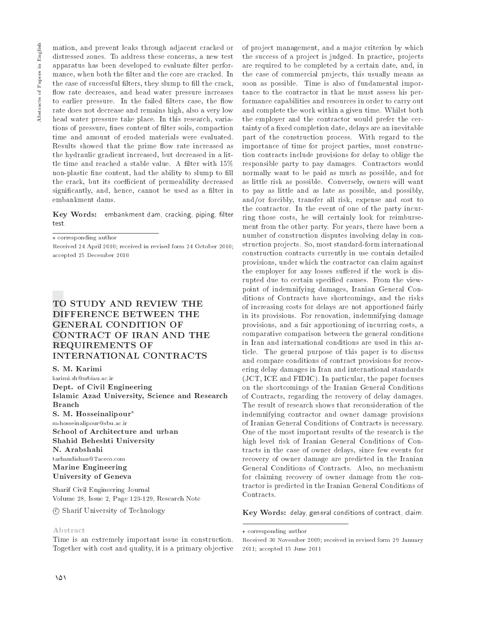mation, and prevent leaks through adjacent cracked or distressed zones. To address these concerns, a new test apparatus has been developed to evaluate filter performance, when both the filter and the core are cracked. In the case of successful filters, they slump to fill the crack, flow rate decreases, and head water pressure increases to earlier pressure. In the failed filters case, the flow rate does not decrease and remains high, also a very low head water pressure take place. In this research, variations of pressure, fines content of filter soils, compaction time and amount of eroded materials were evaluated. Results showed that the prime flow rate increased as the hydraulic gradient increased, but decreased in a little time and reached a stable value. A filter with 15% non-plastic fine content, had the ability to slump to fill the crack, but its coefficient of permeability decreased significantly, and, hence, cannot be used as a filter in embankment dams.

Key Words: embankment dam, cracking, piping, filter test.

 $\star$  corresponding author

Received 24 April 2010; received in revised form 24 October 2010; accepted 25 December 2010

# TO STUDY AND REVIEW THE DIFFERENCE BETWEEN THE **GENERAL CONDITION OF CONTRACT OF IRAN AND THE REQUIREMENTS OF** INTERNATIONAL CONTRACTS

S. M. Karimi

karimi.sh@srbiau.ac.ir Dept. of Civil Engineering Islamic Azad University, Science and Research **Branch** S. M. Hosseinalipour<sup>\*</sup> m-hosseinalipour@sbu.ac.ir School of Architecture and urban Shahid Beheshti University N. Arabshahi  $\mathrm{tarhandishan}@\mathrm{Taceco.com}$ **Marine Engineering University of Geneva** 

Sharif Civil Engineering Journal Volume 28, Issue 2, Page 123-129, Research Note

© Sharif University of Technology

### Abstract

Time is an extremely important issue in construction. Together with cost and quality, it is a primary objective

of project management, and a major criterion by which the success of a project is judged. In practice, projects are required to be completed by a certain date, and, in the case of commercial projects, this usually means as soon as possible. Time is also of fundamental importance to the contractor in that he must assess his performance capabilities and resources in order to carry out and complete the work within a given time. Whilst both the employer and the contractor would prefer the certainty of a fixed completion date, delays are an inevitable part of the construction process. With regard to the importance of time for project parties, most construction contracts include provisions for delay to oblige the responsible party to pay damages. Contractors would normally want to be paid as much as possible, and for as little risk as possible. Conversely, owners will want to pay as little and as late as possible, and possibly, and/or forcibly, transfer all risk, expense and cost to the contractor. In the event of one of the party incurring those costs, he will certainly look for reimbursement from the other party. For years, there have been a number of construction disputes involving delay in construction projects. So, most standard-form international construction contracts currently in use contain detailed provisions, under which the contractor can claim against the employer for any losses suffered if the work is disrupted due to certain specified causes. From the viewpoint of indemnifying damages, Iranian General Conditions of Contracts have shortcomings, and the risks of increasing costs for delays are not apportioned fairly in its provisions. For renovation, indemnifying damage provisions, and a fair apportioning of incurring costs, a comparative comparison between the general conditions in Iran and international conditions are used in this article. The general purpose of this paper is to discuss and compare conditions of contract provisions for recovering delay damages in Iran and international standards (JCT, ICE and FIDIC). In particular, the paper focuses on the shortcomings of the Iranian General Conditions of Contracts, regarding the recovery of delay damages. The result of research shows that reconsideration of the indemnifying contractor and owner damage provisions of Iranian General Conditions of Contracts is necessary. One of the most important results of the research is the high level risk of Iranian General Conditions of Contracts in the case of owner delays, since few events for recovery of owner damage are predicted in the Iranian General Conditions of Contracts. Also, no mechanism for claiming recovery of owner damage from the contractor is predicted in the Iranian General Conditions of Contracts.

Key Words: delay, general conditions of contract, claim.

 $\star$  corresponding author

Received 30 November 2009: received in revised form 29 January 2011; accepted 15 June 2011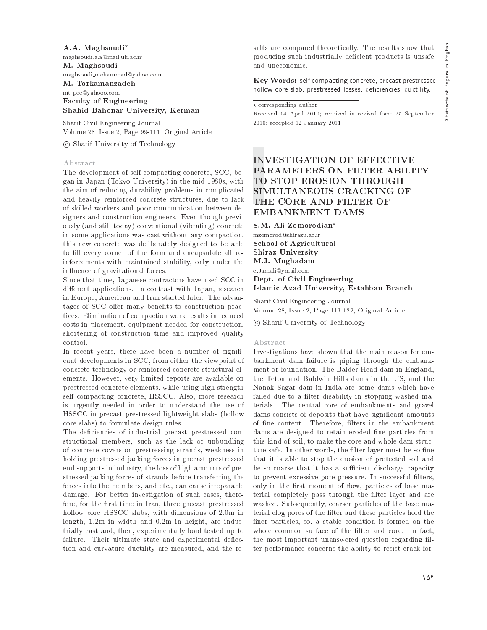A.A. Maghsoudi\* maghsoudi.a.a@mail.uk.ac.ir M. Maghsoudi maghsoudi\_mohammad@yahoo.com M. Torkamanzadeh mt\_pce@yahooo.com **Faculty of Engineering** Shahid Bahonar University, Kerman

Sharif Civil Engineering Journal Volume 28, Issue 2, Page 99-111, Original Article

© Sharif University of Technology

### Abstract

The development of self compacting concrete, SCC, began in Japan (Tokyo University) in the mid 1980s, with the aim of reducing durability problems in complicated and heavily reinforced concrete structures, due to lack of skilled workers and poor communication between designers and construction engineers. Even though previously (and still today) conventional (vibrating) concrete in some applications was cast without any compaction, this new concrete was deliberately designed to be able to fill every corner of the form and encapsulate all reinforcements with maintained stability, only under the influence of gravitational forces.

Since that time, Japanese contractors have used SCC in different applications. In contrast with Japan, research in Europe, American and Iran started later. The advantages of SCC offer many benefits to construction practices. Elimination of compaction work results in reduced costs in placement, equipment needed for construction, shortening of construction time and improved quality control.

In recent years, there have been a number of significant developments in SCC, from either the viewpoint of concrete technology or reinforced concrete structural elements. However, very limited reports are available on prestressed concrete elements, while using high strength self compacting concrete, HSSCC. Also, more research is urgently needed in order to understand the use of HSSCC in precast prestressed lightweight slabs (hollow core slabs) to formulate design rules.

The deficiencies of industrial precast prestressed constructional members, such as the lack or unbundling of concrete covers on prestressing strands, weakness in holding prestressed jacking forces in precast prestressed end supports in industry, the loss of high amounts of prestressed jacking forces of strands before transferring the forces into the members, and etc., can cause irreparable damage. For better investigation of such cases, therefore, for the first time in Iran, three precast prestressed hollow core HSSCC slabs, with dimensions of 2.0m in length, 1.2m in width and 0.2m in height, are industrially cast and, then, experimentally load tested up to failure. Their ultimate state and experimental deflection and curvature ductility are measured, and the results are compared theoretically. The results show that producing such industrially deficient products is unsafe and uneconomic.

Key Words: self compacting concrete, precast prestressed hollow core slab, prestressed losses, deficiencies, ductility.

### $\star$  corresponding author

Received 04 April 2010; received in revised form 25 September 2010; accepted 12 January 2011

# **INVESTIGATION OF EFFECTIVE** PARAMETERS ON FILTER ABILITY TO STOP EROSION THROUGH SIMULTANEOUS CRACKING OF THE CORE AND FILTER OF **EMBANKMENT DAMS**

S.M. Ali-Zomorodian\*

mzomorod@shirazu.ac.ir School of Agricultural **Shiraz University** M.J. Moghadam e\_Jamali@ymail.com Dept. of Civil Engineering Islamic Azad University, Estahban Branch

Sharif Civil Engineering Journal Volume 28, Issue 2, Page 113-122, Original Article

© Sharif University of Technology

### Abstract

Investigations have shown that the main reason for embankment dam failure is piping through the embankment or foundation. The Balder Head dam in England, the Teton and Baldwin Hills dams in the US, and the Nanak Sagar dam in India are some dams which have failed due to a filter disability in stopping washed materials. The central core of embankments and gravel dams consists of deposits that have significant amounts of fine content. Therefore, filters in the embankment dams are designed to retain eroded fine particles from this kind of soil, to make the core and whole dam structure safe. In other words, the filter layer must be so fine that it is able to stop the erosion of protected soil and be so coarse that it has a sufficient discharge capacity to prevent excessive pore pressure. In successful filters, only in the first moment of flow, particles of base material completely pass through the filter layer and are washed. Subsequently, coarser particles of the base material clog pores of the filter and these particles hold the finer particles, so, a stable condition is formed on the whole common surface of the filter and core. In fact, the most important unanswered question regarding filter performance concerns the ability to resist crack for-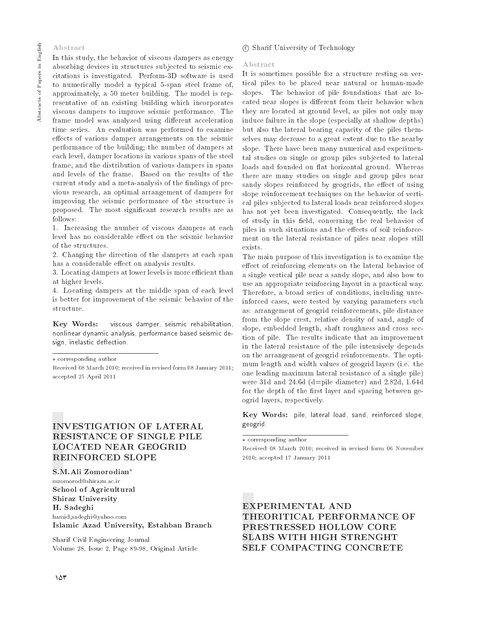# Abstract

# In this study, the behavior of viscous dampers as energy absorbing devices in structures subjected to seismic excitations is investigated. Perform-3D software is used to numerically model a typical 5-span steel frame of, approximately, a 50 meter building. The model is representative of an existing building which incorporates viscous dampers to improve seismic performance. The frame model was analyzed using different acceleration time series. An evaluation was performed to examine effects of various damper arrangements on the seismic performance of the building; the number of dampers at each level, damper locations in various spans of the steel frame, and the distribution of various dampers in spans and levels of the frame. Based on the results of the current study and a meta-analysis of the findings of previous research, an optimal arrangement of dampers for improving the seismic performance of the structure is proposed. The most significant research results are as follows:

1. Increasing the number of viscous dampers at each level has no considerable effect on the seismic behavior of the structures.

2. Changing the direction of the dampers at each span has a considerable effect on analysis results.

3. Locating dampers at lower levels is more efficient than at higher levels.

4. Locating dampers at the middle span of each level is better for improvement of the seismic behavior of the structure.

Key Words: viscous damper, seismic rehabilitation, nonlinear dynamic analysis, performance based seismic design, inelastic deflection.

 $\star$  corresponding author

Received 08 March 2010; received in revised form 08 January 2011; accepted 25 April 2011

# **INVESTIGATION OF LATERAL RESISTANCE OF SINGLE PILE LOCATED NEAR GEOGRID REINFORCED SLOPE**

S.M.Ali Zomorodian\* mzomorod@shirazu.ac.ir School of Agricultural Shiraz University H. Sadeghi hamid\_sadeghi@yahoo.com Islamic Azad University, Estahban Branch

Sharif Civil Engineering Journal Volume 28. Issue 2. Page 89-98. Original Article

# © Sharif University of Technology

### Abstract

It is sometimes possible for a structure resting on vertical piles to be placed near natural or human-made slopes. The behavior of pile foundations that are located near slopes is different from their behavior when they are located at ground level, as piles not only may induce failure in the slope (especially at shallow depths) but also the lateral bearing capacity of the piles themselves may decrease to a great extent due to the nearby slope. There have been many numerical and experimental studies on single or group piles subjected to lateral loads and founded on flat horizontal ground. Whereas there are many studies on single and group piles near sandy slopes reinforced by geogrids, the effect of using slope reinforcement techniques on the behavior of vertical piles subjected to lateral loads near reinforced slopes has not yet been investigated. Consequently, the lack of study in this field, concerning the real behavior of piles in such situations and the effects of soil reinforcement on the lateral resistance of piles near slopes still exists

The main purpose of this investigation is to examine the effect of reinforcing elements on the lateral behavior of a single vertical pile near a sandy slope, and also how to use an appropriate reinforcing layout in a practical way. Therefore, a broad series of conditions, including unreinforced cases, were tested by varying parameters such as: arrangement of geogrid reinforcements, pile distance from the slope crest, relative density of sand, angle of slope, embedded length, shaft roughness and cross section of pile. The results indicate that an improvement in the lateral resistance of the pile intensively depends on the arrangement of geogrid reinforcements. The optimum length and width values of geogrid layers (i.e. the one leading maximum lateral resistance of a single pile) were 31d and 24.6d (d=pile diameter) and 2.82d, 1.64d for the depth of the first layer and spacing between geogrid layers, respectively.

Key Words: pile, lateral load, sand, reinforced slope, geogrid.

 $\overline{\star \text{ corresponding author}}$ 

Received 08 March 2010; received in revised form 06 November 2010; accepted 17 January 2011

EXPERIMENTAL AND THEORITICAL PERFORMANCE OF PRESTRESSED HOLLOW CORE **SLABS WITH HIGH STRENGHT** SELF COMPACTING CONCRETE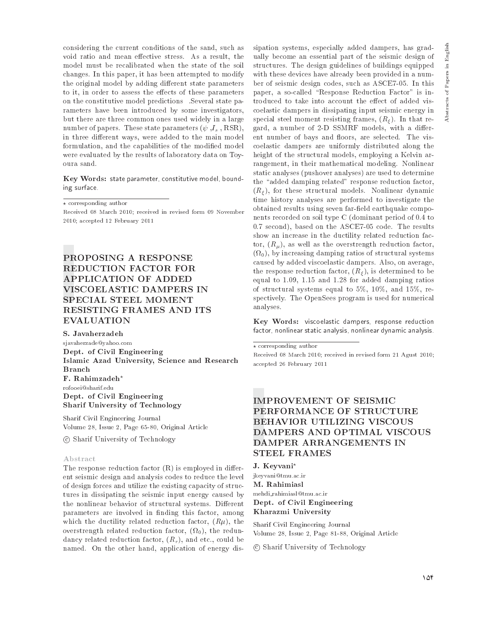considering the current conditions of the sand, such as void ratio and mean effective stress. As a result, the model must be recalibrated when the state of the soil changes. In this paper, it has been attempted to modify the original model by adding different state parameters to it, in order to assess the effects of these parameters on the constitutive model predictions Several state parameters have been introduced by some investigators, but there are three common ones used widely in a large number of papers. These state parameters  $(\psi, I_s, \text{RSR})$ , in three different ways, were added to the main model formulation, and the capabilities of the modified model were evaluated by the results of laboratory data on Toyoura sand.

Key Words: state parameter, constitutive model, bounding surface.

 $\star$  corresponding author

Received 08 March 2010; received in revised form 09 November 2010; accepted 12 February 2011

# PROPOSING A RESPONSE **REDUCTION FACTOR FOR APPLICATION OF ADDED** VISCOELASTIC DAMPERS IN SPECIAL STEEL MOMENT RESISTING FRAMES AND ITS **EVALUATION**

S. Javaherzadeh sjavaherzade@yahoo.com Dept. of Civil Engineering Islamic Azad University, Science and Research **Branch** F. Rahimzadeh\* rofooei@sharif.edu Dept. of Civil Engineering Sharif University of Technology

Sharif Civil Engineering Journal Volume 28, Issue 2, Page 65-80, Original Article

© Sharif University of Technology

### Abstract

The response reduction factor  $(R)$  is employed in different seismic design and analysis codes to reduce the level of design forces and utilize the existing capacity of structures in dissipating the seismic input energy caused by the nonlinear behavior of structural systems. Different parameters are involved in finding this factor, among which the ductility related reduction factor,  $(R\mu)$ , the overstrength related reduction factor,  $(\Omega_0)$ , the redundancy related reduction factor,  $(R_r)$ , and etc., could be named. On the other hand, application of energy dissipation systems, especially added dampers, has gradually become an essential part of the seismic design of structures. The design guidelines of buildings equipped with these devices have already been provided in a number of seismic design codes, such as ASCE7-05. In this paper, a so-called "Response Reduction Factor" is introduced to take into account the effect of added viscoelastic dampers in dissipating input seismic energy in special steel moment resisting frames,  $(R<sub>\epsilon</sub>)$ . In that regard, a number of 2-D SSMRF models, with a different number of bays and floors, are selected. The viscoelastic dampers are uniformly distributed along the height of the structural models, employing a Kelvin arrangement, in their mathematical modeling. Nonlinear static analyses (pushover analyses) are used to determine the "added damping related" response reduction factor,  $(R_{\xi})$ , for these structural models. Nonlinear dynamic time history analyses are performed to investigate the obtained results using seven far-field earthquake components recorded on soil type C (dominant period of 0.4 to 0.7 second), based on the ASCE7-05 code. The results show an increase in the ductility related reduction factor,  $(R_u)$ , as well as the overstrength reduction factor,  $(\Omega_0)$ , by increasing damping ratios of structural systems caused by added viscoelastic dampers. Also, on average, the response reduction factor,  $(R_{\xi})$ , is determined to be equal to 1.09, 1.15 and 1.28 for added damping ratios of structural systems equal to  $5\%$ ,  $10\%$ , and  $15\%$ , respectively. The OpenSees program is used for numerical

Key Words: viscoelastic dampers, response reduction factor, nonlinear static analysis, nonlinear dynamic analysis.

analyses.

Received 08 March 2010; received in revised form 21 Agust 2010; accepted 26 February 2011

# **IMPROVEMENT OF SEISMIC** PERFORMANCE OF STRUCTURE **BEHAVIOR UTILIZING VISCOUS** DAMPERS AND OPTIMAL VISCOUS DAMPER ARRANGEMENTS IN **STEEL FRAMES**

J. Keyvani<sup>\*</sup> jkeyvani@tmu.ac.ir M. Rahimiasl mehdi\_rahimiasl@tmu.ac.ir Dept. of Civil Engineering Kharazmi University

Sharif Civil Engineering Journal Volume 28, Issue 2, Page 81-88, Original Article

© Sharif University of Technology

 $\star$  corresponding author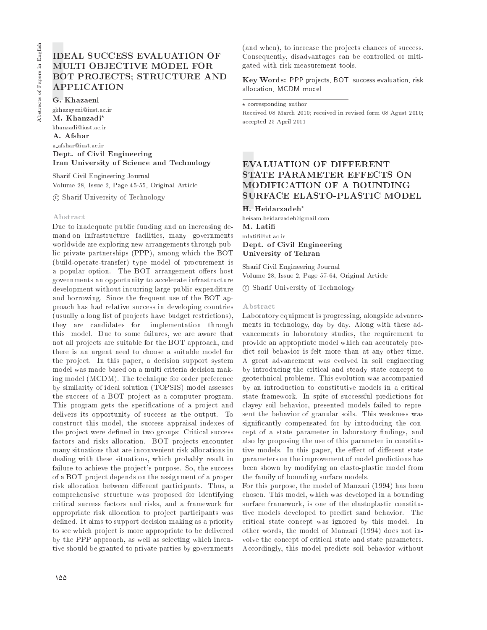# **IDEAL SUCCESS EVALUATION OF** MULTI OBJECTIVE MODEL FOR **BOT PROJECTS; STRUCTURE AND APPLICATION**

G. Khazaeni

gkhazayeni@iust.ac.ir M. Khanzadi\* khanzadi@iust.ac.ir A. Afshar a\_afshar@iust.ac.ir Dept. of Civil Engineering Iran University of Science and Technology

Sharif Civil Engineering Journal Volume 28, Issue 2, Page 45-55, Original Article

© Sharif University of Technology

# Abstract

Due to inadequate public funding and an increasing demand on infrastructure facilities, many governments worldwide are exploring new arrangements through public private partnerships (PPP), among which the BOT (build-operate-transfer) type model of procurement is a popular option. The BOT arrangement offers host governments an opportunity to accelerate infrastructure development without incurring large public expenditure and borrowing. Since the frequent use of the BOT approach has had relative success in developing countries (usually a long list of projects have budget restrictions), they are candidates for implementation through this model. Due to some failures, we are aware that not all projects are suitable for the BOT approach, and there is an urgent need to choose a suitable model for the project. In this paper, a decision support system model was made based on a multi criteria decision making model (MCDM). The technique for order preference by similarity of ideal solution (TOPSIS) model assesses the success of a BOT project as a computer program. This program gets the specifications of a project and delivers its opportunity of success as the output. To construct this model, the success appraisal indexes of the project were defined in two groups: Critical success factors and risks allocation. BOT projects encounter many situations that are inconvenient risk allocations in dealing with these situations, which probably result in failure to achieve the project's purpose. So, the success of a BOT project depends on the assignment of a proper risk allocation between different participants. Thus, a comprehensive structure was proposed for identifying critical success factors and risks, and a framework for appropriate risk allocation to project participants was defined. It aims to support decision making as a priority to see which project is more appropriate to be delivered by the PPP approach, as well as selecting which incentive should be granted to private parties by governments

(and when), to increase the projects chances of success. Consequently, disadvantages can be controlled or mitigated with risk measurement tools.

Key Words: PPP projects, BOT, success evaluation, risk allocation, MCDM model.

### $\star$  corresponding author

Received 08 March 2010; received in revised form 08 Agust 2010; accepted 25 April 2011

# **EVALUATION OF DIFFERENT** STATE PARAMETER EFFECTS ON MODIFICATION OF A BOUNDING **SURFACE ELASTO-PLASTIC MODEL**

H. Heidarzadeh\*

heisam.heidarzadeh@gmail.com M. Latifi mlatifi@ut.ac.ir Dept. of Civil Engineering University of Tehran

Sharif Civil Engineering Journal Volume 28, Issue 2, Page 57-64, Original Article

© Sharif University of Technology

### Abstract

Laboratory equipment is progressing, alongside advancements in technology, day by day. Along with these advancements in laboratory studies, the requirement to provide an appropriate model which can accurately predict soil behavior is felt more than at any other time. A great advancement was evolved in soil engineering by introducing the critical and steady state concept to geotechnical problems. This evolution was accompanied by an introduction to constitutive models in a critical state framework. In spite of successful predictions for clavey soil behavior, presented models failed to represent the behavior of granular soils. This weakness was significantly compensated for by introducing the concept of a state parameter in laboratory findings, and also by proposing the use of this parameter in constitutive models. In this paper, the effect of different state parameters on the improvement of model predictions has been shown by modifying an elasto-plastic model from the family of bounding surface models.

For this purpose, the model of Manzari (1994) has been chosen. This model, which was developed in a bounding surface framework, is one of the elastoplastic constitutive models developed to predict sand behavior. The critical state concept was ignored by this model. In other words, the model of Manzari (1994) does not involve the concept of critical state and state parameters. Accordingly, this model predicts soil behavior without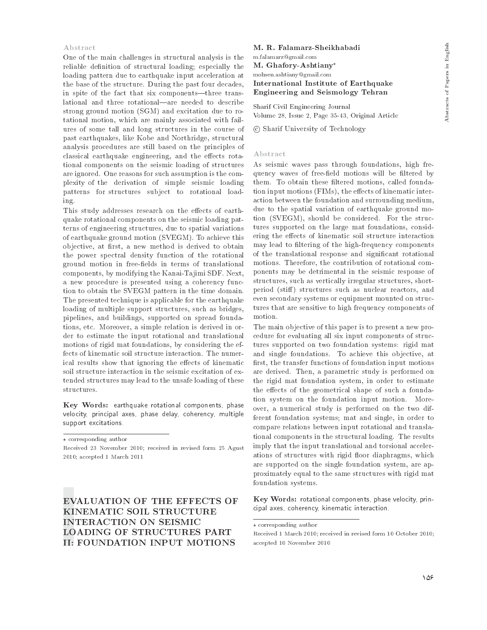# Abstracts of Papers in English

### Abstract

One of the main challenges in structural analysis is the reliable definition of structural loading; especially the loading pattern due to earthquake input acceleration at the base of the structure. During the past four decades, in spite of the fact that six components—three translational and three rotational—are needed to describe strong ground motion (SGM) and excitation due to rotational motion, which are mainly associated with failures of some tall and long structures in the course of past earthquakes, like Kobe and Northridge, structural analysis procedures are still based on the principles of classical earthquake engineering, and the effects rotational components on the seismic loading of structures are ignored. One reasons for such assumption is the complexity of the derivation of simple seismic loading patterns for structures subject to rotational load- $\frac{\text{in } g}{\text{in } g}$ .

This study addresses research on the effects of earthquake rotational components on the seismic loading patterns of engineering structures, due to spatial variations of earthquake ground motion (SVEGM). To achieve this objective, at first, a new method is derived to obtain the power spectral density function of the rotational ground motion in free-fields in terms of translational components, by modifying the Kanai-Tajimi SDF. Next, a new procedure is presented using a coherency function to obtain the SVEGM pattern in the time domain. The presented technique is applicable for the earthquake loading of multiple support structures, such as bridges, pipelines, and buildings, supported on spread foundations, etc. Moreover, a simple relation is derived in order to estimate the input rotational and translational motions of rigid mat foundations, by considering the effects of kinematic soil structure interaction. The numerical results show that ignoring the effects of kinematic soil structure interaction in the seismic excitation of extended structures may lead to the unsafe loading of these structures.

Key Words: earthquake rotational components, phase velocity, principal axes, phase delay, coherency, multiple support excitations.

Received 23 November 2010; received in revised form 25 Agust 2010; accepted 1 March 2011

**EVALUATION OF THE EFFECTS OF** KINEMATIC SOIL STRUCTURE **INTERACTION ON SEISMIC LOADING OF STRUCTURES PART II: FOUNDATION INPUT MOTIONS** 

M. R. Falamarz-Sheikhabadi m.falamarz@gmail.com M. Ghafory-Ashtiany\* mohsen.ashtiany@gmail.com International Institute of Earthquake Engineering and Seismology Tehran

Sharif Civil Engineering Journal Volume 28, Issue 2, Page 35-43, Original Article

© Sharif University of Technology

## Abstract

As seismic waves pass through foundations, high frequency waves of free-field motions will be filtered by them. To obtain these filtered motions, called foundation input motions (FIMs), the effects of kinematic interaction between the foundation and surrounding medium, due to the spatial variation of earthquake ground motion (SVEGM), should be considered. For the structures supported on the large mat foundations, considering the effects of kinematic soil structure interaction may lead to filtering of the high-frequency components of the translational response and significant rotational motions. Therefore, the contribution of rotational components may be detrimental in the seismic response of structures, such as vertically irregular structures, shortperiod (stiff) structures such as nuclear reactors, and even secondary systems or equipment mounted on structures that are sensitive to high frequency components of motion.

The main objective of this paper is to present a new procedure for evaluating all six input components of structures supported on two foundation systems: rigid mat and single foundations. To achieve this objective, at first, the transfer functions of foundation input motions are derived. Then, a parametric study is performed on the rigid mat foundation system, in order to estimate the effects of the geometrical shape of such a foundation system on the foundation input motion. Moreover, a numerical study is performed on the two different foundation systems; mat and single, in order to compare relations between input rotational and translational components in the structural loading. The results imply that the input translational and torsional accelerations of structures with rigid floor diaphragms, which are supported on the single foundation system, are approximately equal to the same structures with rigid mat foundation systems.

Key Words: rotational components, phase velocity, principal axes, coherency, kinematic interaction.

 $\star$  corresponding author

 $\star$  corresponding author

Received 1 March 2010; received in revised form 10 October 2010; accepted 10 November 2010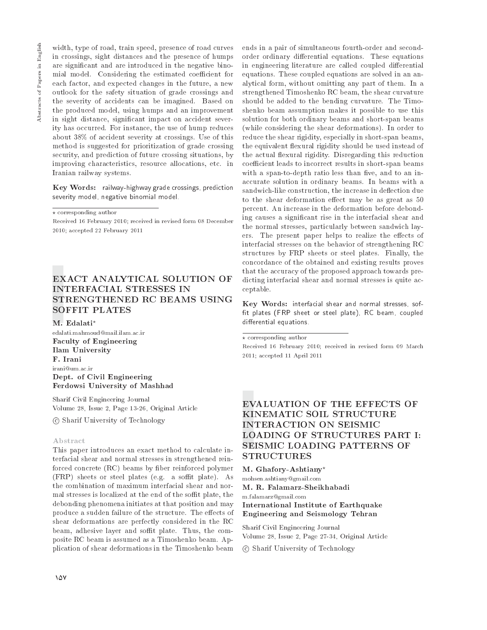width, type of road, train speed, presence of road curves in crossings, sight distances and the presence of humps are significant and are introduced in the negative binomial model. Considering the estimated coefficient for each factor, and expected changes in the future, a new outlook for the safety situation of grade crossings and the severity of accidents can be imagined. Based on the produced model, using humps and an improvement in sight distance, significant impact on accident severity has occurred. For instance, the use of hump reduces about 38% of accident severity at crossings. Use of this method is suggested for prioritization of grade crossing security, and prediction of future crossing situations, by improving characteristics, resource allocations, etc. in Iranian railway systems.

Key Words: railway-highway grade crossings, prediction severity model, negative binomial model.

 $\star$  corresponding author

Received 16 February 2010; received in revised form 08 December 2010; accepted 22 February 2011

# **EXACT ANALYTICAL SOLUTION OF INTERFACIAL STRESSES IN** STRENGTHENED RC BEAMS USING **SOFFIT PLATES**

M. Edalati\*

 ${\tt edalati.mahmoud@mail.ilam.ac.ir}$ **Faculty of Engineering** Ilam University F. Irani irani@um.ac.ir Dept. of Civil Engineering Ferdowsi University of Mashhad

Sharif Civil Engineering Journal Volume 28, Issue 2, Page 13-26, Original Article

© Sharif University of Technology

# Abstract

This paper introduces an exact method to calculate interfacial shear and normal stresses in strengthened reinforced concrete (RC) beams by fiber reinforced polymer (FRP) sheets or steel plates (e.g. a soffit plate). As the combination of maximum interfacial shear and normal stresses is localized at the end of the soffit plate, the debonding phenomena initiates at that position and may produce a sudden failure of the structure. The effects of shear deformations are perfectly considered in the RC beam, adhesive layer and soffit plate. Thus, the composite RC beam is assumed as a Timoshenko beam. Application of shear deformations in the Timoshenko beam ends in a pair of simultaneous fourth-order and secondorder ordinary differential equations. These equations in engineering literature are called coupled differential equations. These coupled equations are solved in an analytical form, without omitting any part of them. In a strengthened Timoshenko RC beam, the shear curvature should be added to the bending curvature. The Timoshenko beam assumption makes it possible to use this solution for both ordinary beams and short-span beams (while considering the shear deformations). In order to reduce the shear rigidity, especially in short-span beams, the equivalent flexural rigidity should be used instead of the actual flexural rigidity. Disregarding this reduction coefficient leads to incorrect results in short-span beams with a span-to-depth ratio less than five, and to an inaccurate solution in ordinary beams. In beams with a sandwich-like construction, the increase in deflection due to the shear deformation effect may be as great as 50 percent. An increase in the deformation before debonding causes a significant rise in the interfacial shear and the normal stresses, particularly between sandwich layers. The present paper helps to realize the effects of interfacial stresses on the behavior of strengthening RC structures by FRP sheets or steel plates. Finally, the concordance of the obtained and existing results proves that the accuracy of the proposed approach towards predicting interfacial shear and normal stresses is quite acceptable.

Key Words: interfacial shear and normal stresses, soffit plates (FRP sheet or steel plate), RC beam, coupled differential equations.

 $\star$  corresponding author

Received 16 February 2010; received in revised form 09 March 2011; accepted 11 April 2011

# **EVALUATION OF THE EFFECTS OF** KINEMATIC SOIL STRUCTURE **INTERACTION ON SEISMIC LOADING OF STRUCTURES PART I:** SEISMIC LOADING PATTERNS OF **STRUCTURES**

M. Ghafory-Ashtiany\* mohsen.ashtiany@gmail.com M. R. Falamarz-Sheikhabadi m.falamarz@gmail.com International Institute of Earthquake Engineering and Seismology Tehran

Sharif Civil Engineering Journal Volume 28, Issue 2, Page 27-34, Original Article

© Sharif University of Technology